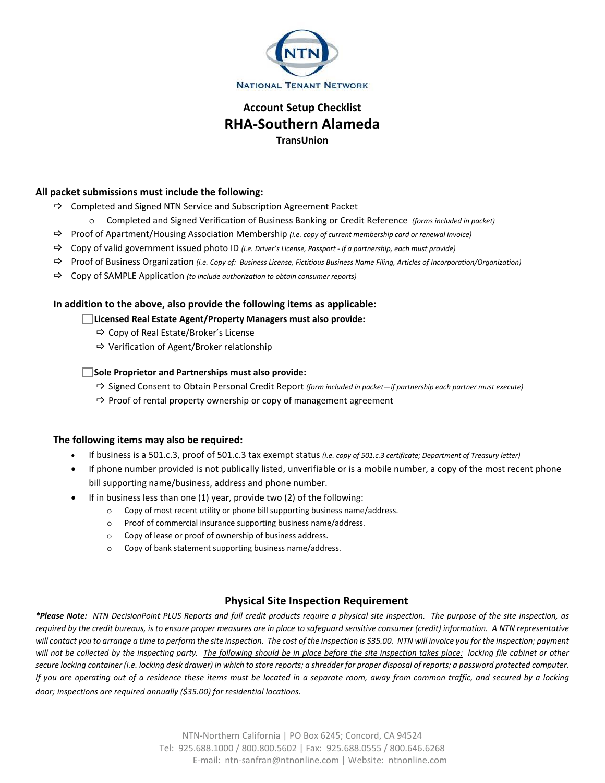

# **Account Setup Checklist RHA-Southern Alameda TransUnion**

## **All packet submissions must include the following:**

- $\Rightarrow$  Completed and Signed NTN Service and Subscription Agreement Packet
	- o Completed and Signed Verification of Business Banking or Credit Reference *(forms included in packet)*
- Proof of Apartment/Housing Association Membership *(i.e. copy of current membership card or renewal invoice)*
- Copy of valid government issued photo ID *(i.e. Driver's License, Passport if a partnership, each must provide)*
- Proof of Business Organization *(i.e. Copy of: Business License, Fictitious Business Name Filing, Articles of Incorporation/Organization)*
- Copy of SAMPLE Application *(to include authorization to obtain consumer reports)*

### **In addition to the above, also provide the following items as applicable:**

**Licensed Real Estate Agent/Property Managers must also provide:**

- $\Rightarrow$  Copy of Real Estate/Broker's License
- $\Rightarrow$  Verification of Agent/Broker relationship

### **Sole Proprietor and Partnerships must also provide:**

- Signed Consent to Obtain Personal Credit Report *(form included in packet—if partnership each partner must execute)*
- $\Rightarrow$  Proof of rental property ownership or copy of management agreement

#### **The following items may also be required:**

- If business is a 501.c.3, proof of 501.c.3 tax exempt status *(i.e. copy of 501.c.3 certificate; Department of Treasury letter)*
- If phone number provided is not publically listed, unverifiable or is a mobile number, a copy of the most recent phone bill supporting name/business, address and phone number.
- If in business less than one (1) year, provide two (2) of the following:
	- o Copy of most recent utility or phone bill supporting business name/address.
	- o Proof of commercial insurance supporting business name/address.
	- o Copy of lease or proof of ownership of business address.
	- o Copy of bank statement supporting business name/address.

# **Physical Site Inspection Requirement**

*\*Please Note: NTN DecisionPoint PLUS Reports and full credit products require a physical site inspection. The purpose of the site inspection, as required by the credit bureaus, is to ensure proper measures are in place to safeguard sensitive consumer (credit) information. A NTN representative will contact you to arrange a time to perform the site inspection. The cost of the inspection is \$35.00. NTN will invoice you for the inspection; payment*  will not be collected by the inspecting party. The following should be in place before the site inspection takes place: locking file cabinet or other *secure locking container (i.e. locking desk drawer) in which to store reports; a shredder for proper disposal of reports; a password protected computer. If you are operating out of a residence these items must be located in a separate room, away from common traffic, and secured by a locking door; inspections are required annually (\$35.00) for residential locations.*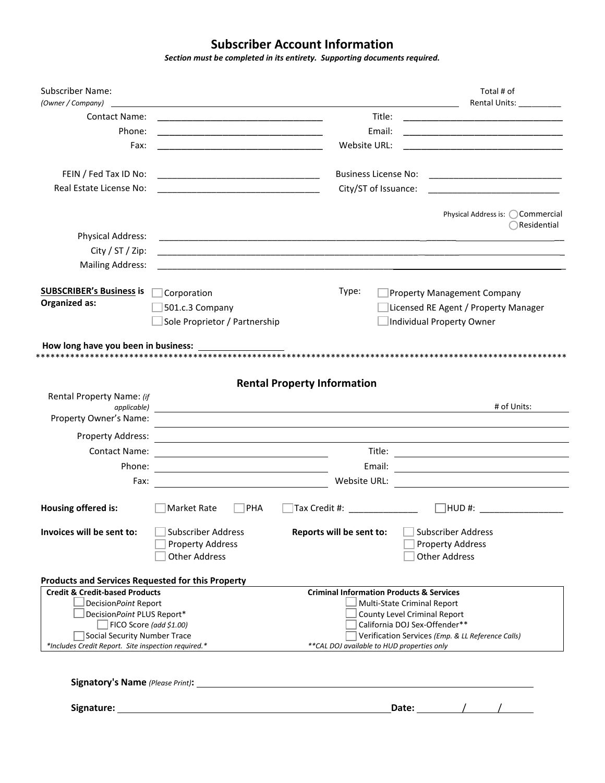# **Subscriber Account Information**

*Section must be completed in its entirety. Supporting documents required.*

| <b>Subscriber Name:</b><br>(Owner / Company)                 |                                                                                                                       |                                                                                                                       | Total # of<br>Rental Units: _________                                                                                 |
|--------------------------------------------------------------|-----------------------------------------------------------------------------------------------------------------------|-----------------------------------------------------------------------------------------------------------------------|-----------------------------------------------------------------------------------------------------------------------|
| <b>Contact Name:</b>                                         |                                                                                                                       | Title:                                                                                                                |                                                                                                                       |
| Phone:                                                       | <u> 1989 - Johann Barbara, martin da basar da basar da basar da basar da basar da basar da basar da basar da basa</u> | Email:                                                                                                                |                                                                                                                       |
| Fax:                                                         |                                                                                                                       | Website URL:                                                                                                          | <u> 1989 - Johann Barbara, martxa al III-lea (h. 1989).</u>                                                           |
|                                                              |                                                                                                                       |                                                                                                                       |                                                                                                                       |
| FEIN / Fed Tax ID No:                                        |                                                                                                                       | <b>Business License No:</b>                                                                                           |                                                                                                                       |
| Real Estate License No:                                      | <u> 1980 - Johann Barn, mars eta bainar eta bat erroman erroman erroman erroman erroman erroman erroman erroman e</u> | City/ST of Issuance:                                                                                                  |                                                                                                                       |
|                                                              |                                                                                                                       |                                                                                                                       | Physical Address is: OCommercial                                                                                      |
|                                                              |                                                                                                                       |                                                                                                                       | Residential                                                                                                           |
| Physical Address:                                            |                                                                                                                       |                                                                                                                       |                                                                                                                       |
| City / ST / Zip:                                             |                                                                                                                       | <u> 1989 - Johann Harry Harry Harry Harry Harry Harry Harry Harry Harry Harry Harry Harry Harry Harry Harry Harry</u> |                                                                                                                       |
| <b>Mailing Address:</b>                                      |                                                                                                                       |                                                                                                                       |                                                                                                                       |
| <b>SUBSCRIBER's Business is</b>                              | Corporation                                                                                                           | Type:                                                                                                                 | <b>Property Management Company</b>                                                                                    |
| <b>Organized as:</b>                                         | 501.c.3 Company                                                                                                       |                                                                                                                       | Licensed RE Agent / Property Manager                                                                                  |
|                                                              | Sole Proprietor / Partnership                                                                                         |                                                                                                                       | Individual Property Owner                                                                                             |
|                                                              |                                                                                                                       |                                                                                                                       |                                                                                                                       |
| How long have you been in business:                          |                                                                                                                       |                                                                                                                       |                                                                                                                       |
|                                                              |                                                                                                                       |                                                                                                                       |                                                                                                                       |
|                                                              |                                                                                                                       | <b>Rental Property Information</b>                                                                                    |                                                                                                                       |
| Rental Property Name: (if                                    |                                                                                                                       |                                                                                                                       |                                                                                                                       |
| applicable)<br>Property Owner's Name:                        |                                                                                                                       |                                                                                                                       | # of Units:                                                                                                           |
|                                                              |                                                                                                                       |                                                                                                                       |                                                                                                                       |
| Property Address:                                            |                                                                                                                       |                                                                                                                       |                                                                                                                       |
| Contact Name:                                                |                                                                                                                       | Title:                                                                                                                |                                                                                                                       |
| Phone:                                                       | <u> 1980 - Johann Barn, mars ann an t-Amhain Aonaichte ann an t-Amhain Aonaichte ann an t-Amhain Aonaichte ann an</u> | Email:                                                                                                                | <u> 1989 - Johann Barn, mars ann an t-Amhair an t-Amhair an t-Amhair an t-Amhair an t-Amhair an t-Amhair an t-Amh</u> |
| Fax:                                                         | <u> 1980 - Jan Samuel Barbara, poeta esta</u>                                                                         | Website URL:                                                                                                          | the control of the control of the control of the control of the control of the control of                             |
| Housing offered is:                                          | Market Rate<br>PHA                                                                                                    | Tax Credit #: ______________                                                                                          | □HUD #: __________                                                                                                    |
| Invoices will be sent to:                                    | <b>Subscriber Address</b>                                                                                             | Reports will be sent to:                                                                                              | <b>Subscriber Address</b>                                                                                             |
|                                                              | <b>Property Address</b>                                                                                               |                                                                                                                       | <b>Property Address</b>                                                                                               |
|                                                              | <b>Other Address</b>                                                                                                  |                                                                                                                       | <b>Other Address</b>                                                                                                  |
| <b>Products and Services Requested for this Property</b>     |                                                                                                                       |                                                                                                                       |                                                                                                                       |
| <b>Credit &amp; Credit-based Products</b>                    |                                                                                                                       | <b>Criminal Information Products &amp; Services</b>                                                                   |                                                                                                                       |
| DecisionPoint Report                                         |                                                                                                                       |                                                                                                                       | Multi-State Criminal Report                                                                                           |
| DecisionPoint PLUS Report*<br>$\Box$ FICO Score (add \$1.00) |                                                                                                                       |                                                                                                                       | County Level Criminal Report<br>California DOJ Sex-Offender**                                                         |
| Social Security Number Trace                                 |                                                                                                                       |                                                                                                                       | Verification Services (Emp. & LL Reference Calls)                                                                     |
| *Includes Credit Report. Site inspection required.*          |                                                                                                                       | ** CAL DOJ available to HUD properties only                                                                           |                                                                                                                       |
|                                                              |                                                                                                                       |                                                                                                                       |                                                                                                                       |
|                                                              |                                                                                                                       |                                                                                                                       |                                                                                                                       |
|                                                              |                                                                                                                       |                                                                                                                       |                                                                                                                       |
|                                                              |                                                                                                                       |                                                                                                                       |                                                                                                                       |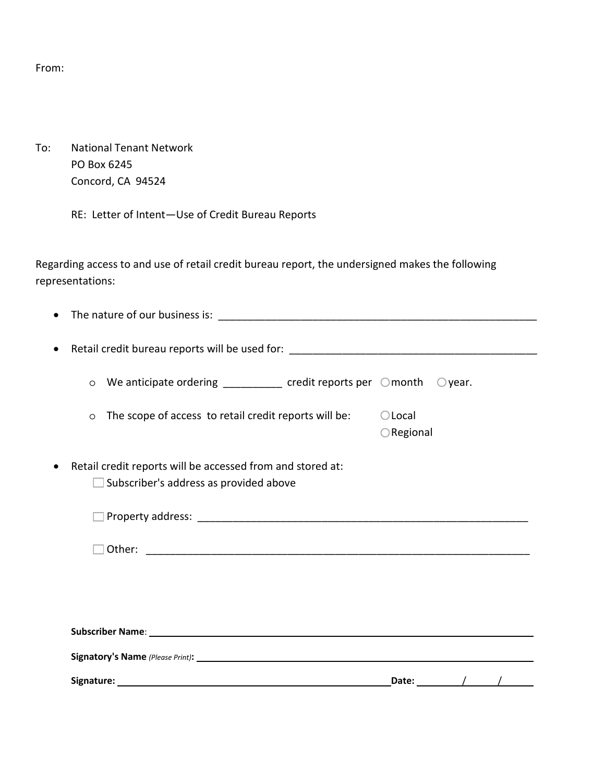From:

To: National Tenant Network PO Box 6245 Concord, CA 94524

RE: Letter of Intent—Use of Credit Bureau Reports

Regarding access to and use of retail credit bureau report, the undersigned makes the following representations:

| Signature: |                                                                                                                                                                                                                                | Date:               |                  |  |
|------------|--------------------------------------------------------------------------------------------------------------------------------------------------------------------------------------------------------------------------------|---------------------|------------------|--|
|            |                                                                                                                                                                                                                                |                     |                  |  |
|            | Subscriber Name: Name: Name: Name: Name: Name: Name: Name: Name: Name: Name: Name: Name: Name: Name: Name: Name: Name: Name: Name: Name: Name: Name: Name: Name: Name: Name: Name: Name: Name: Name: Name: Name: Name: Name: N |                     |                  |  |
|            |                                                                                                                                                                                                                                |                     |                  |  |
|            |                                                                                                                                                                                                                                |                     |                  |  |
|            | Other:                                                                                                                                                                                                                         |                     |                  |  |
|            |                                                                                                                                                                                                                                |                     |                  |  |
|            |                                                                                                                                                                                                                                |                     |                  |  |
|            | Retail credit reports will be accessed from and stored at:<br>Subscriber's address as provided above                                                                                                                           |                     |                  |  |
|            |                                                                                                                                                                                                                                |                     |                  |  |
|            |                                                                                                                                                                                                                                | $\bigcirc$ Regional |                  |  |
| $\circ$    | The scope of access to retail credit reports will be:                                                                                                                                                                          | $\bigcirc$ Local    |                  |  |
| $\circ$    | We anticipate ordering $\frac{1}{\sqrt{1-\frac{1}{2}}\sqrt{1-\frac{1}{2}}}$ credit reports per $\sqrt{1-\frac{1}{2}}$ month                                                                                                    |                     | $\bigcirc$ year. |  |
|            |                                                                                                                                                                                                                                |                     |                  |  |
|            |                                                                                                                                                                                                                                |                     |                  |  |
|            |                                                                                                                                                                                                                                |                     |                  |  |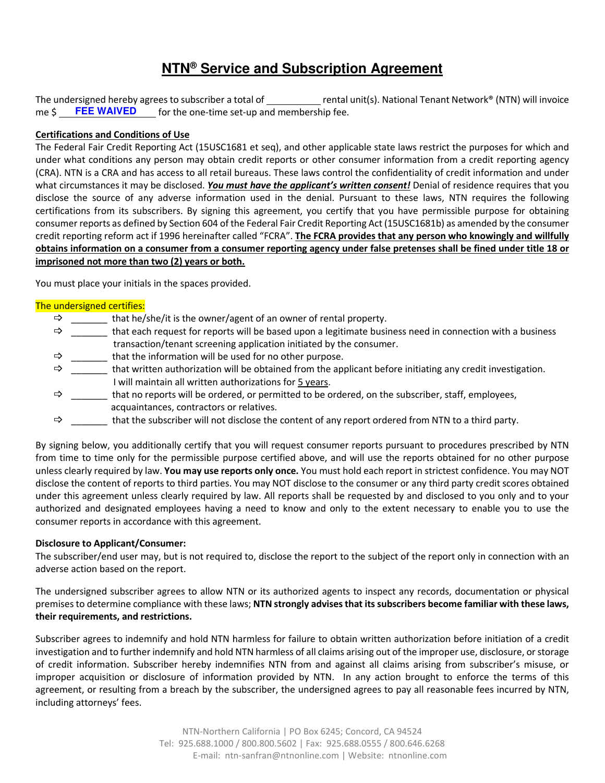# **NTN® Service and Subscription Agreement**

The undersigned hereby agrees to subscriber a total of  $r = r$  rental unit(s). National Tenant Network® (NTN) will invoice me  $\zeta$  **FEE WAIVED** for the one-time set-up and membership fee. **FEE WAIVED**

## **Certifications and Conditions of Use**

The Federal Fair Credit Reporting Act (15USC1681 et seq), and other applicable state laws restrict the purposes for which and under what conditions any person may obtain credit reports or other consumer information from a credit reporting agency (CRA). NTN is a CRA and has access to all retail bureaus. These laws control the confidentiality of credit information and under what circumstances it may be disclosed. *You must have the applicant's written consent!* Denial of residence requires that you disclose the source of any adverse information used in the denial. Pursuant to these laws, NTN requires the following certifications from its subscribers. By signing this agreement, you certify that you have permissible purpose for obtaining consumer reports as defined by Section 604 of the Federal Fair Credit Reporting Act (15USC1681b) as amended by the consumer credit reporting reform act if 1996 hereinafter called "FCRA". **The FCRA provides that any person who knowingly and willfully obtains information on a consumer from a consumer reporting agency under false pretenses shall be fined under title 18 or imprisoned not more than two (2) years or both.**

You must place your initials in the spaces provided.

### The undersigned certifies:

- $\Rightarrow$  \_\_\_\_\_\_\_ that he/she/it is the owner/agent of an owner of rental property.
- $\Rightarrow$  \_\_\_\_\_\_ that each request for reports will be based upon a legitimate business need in connection with a business transaction/tenant screening application initiated by the consumer.
- $\Rightarrow$  \_\_\_\_\_\_\_ that the information will be used for no other purpose.
- $\Rightarrow$  \_\_\_\_\_\_\_ that written authorization will be obtained from the applicant before initiating any credit investigation. I will maintain all written authorizations for 5 years.
- $\Rightarrow$  \_\_\_\_\_\_\_ that no reports will be ordered, or permitted to be ordered, on the subscriber, staff, employees, acquaintances, contractors or relatives.
- $\Rightarrow$  that the subscriber will not disclose the content of any report ordered from NTN to a third party.

By signing below, you additionally certify that you will request consumer reports pursuant to procedures prescribed by NTN from time to time only for the permissible purpose certified above, and will use the reports obtained for no other purpose unless clearly required by law. **You may use reports only once.** You must hold each report in strictest confidence. You may NOT disclose the content of reports to third parties. You may NOT disclose to the consumer or any third party credit scores obtained under this agreement unless clearly required by law. All reports shall be requested by and disclosed to you only and to your authorized and designated employees having a need to know and only to the extent necessary to enable you to use the consumer reports in accordance with this agreement.

#### **Disclosure to Applicant/Consumer:**

The subscriber/end user may, but is not required to, disclose the report to the subject of the report only in connection with an adverse action based on the report.

The undersigned subscriber agrees to allow NTN or its authorized agents to inspect any records, documentation or physical premises to determine compliance with these laws; **NTN strongly advises that its subscribers become familiar with these laws, their requirements, and restrictions.**

Subscriber agrees to indemnify and hold NTN harmless for failure to obtain written authorization before initiation of a credit investigation and to further indemnify and hold NTN harmless of all claims arising out of the improper use, disclosure, or storage of credit information. Subscriber hereby indemnifies NTN from and against all claims arising from subscriber's misuse, or improper acquisition or disclosure of information provided by NTN. In any action brought to enforce the terms of this agreement, or resulting from a breach by the subscriber, the undersigned agrees to pay all reasonable fees incurred by NTN, including attorneys' fees.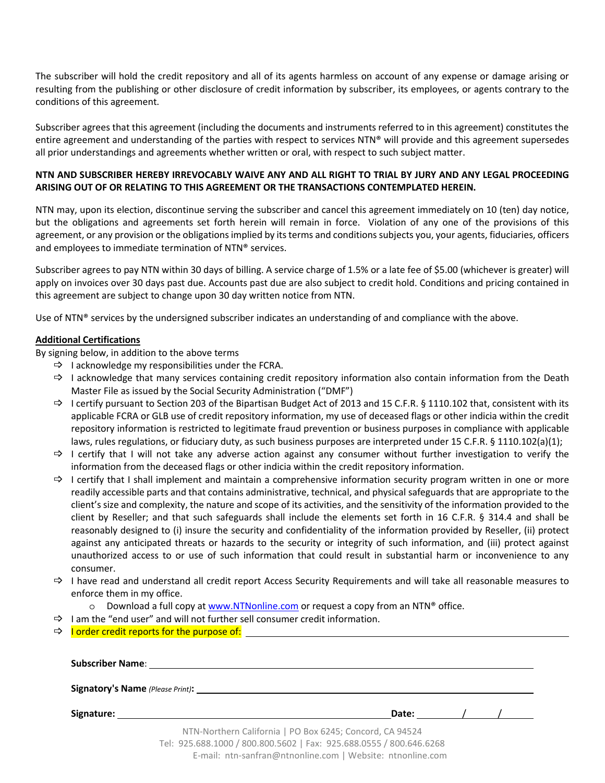The subscriber will hold the credit repository and all of its agents harmless on account of any expense or damage arising or resulting from the publishing or other disclosure of credit information by subscriber, its employees, or agents contrary to the conditions of this agreement.

Subscriber agrees that this agreement (including the documents and instruments referred to in this agreement) constitutes the entire agreement and understanding of the parties with respect to services NTN® will provide and this agreement supersedes all prior understandings and agreements whether written or oral, with respect to such subject matter.

# **NTN AND SUBSCRIBER HEREBY IRREVOCABLY WAIVE ANY AND ALL RIGHT TO TRIAL BY JURY AND ANY LEGAL PROCEEDING ARISING OUT OF OR RELATING TO THIS AGREEMENT OR THE TRANSACTIONS CONTEMPLATED HEREIN.**

NTN may, upon its election, discontinue serving the subscriber and cancel this agreement immediately on 10 (ten) day notice, but the obligations and agreements set forth herein will remain in force. Violation of any one of the provisions of this agreement, or any provision or the obligations implied by its terms and conditions subjects you, your agents, fiduciaries, officers and employees to immediate termination of NTN® services.

Subscriber agrees to pay NTN within 30 days of billing. A service charge of 1.5% or a late fee of \$5.00 (whichever is greater) will apply on invoices over 30 days past due. Accounts past due are also subject to credit hold. Conditions and pricing contained in this agreement are subject to change upon 30 day written notice from NTN.

Use of NTN® services by the undersigned subscriber indicates an understanding of and compliance with the above.

# **Additional Certifications**

By signing below, in addition to the above terms

- $\Rightarrow$  I acknowledge my responsibilities under the FCRA.
- $\Rightarrow$  I acknowledge that many services containing credit repository information also contain information from the Death Master File as issued by the Social Security Administration ("DMF")
- $\Rightarrow$  I certify pursuant to Section 203 of the Bipartisan Budget Act of 2013 and 15 C.F.R. § 1110.102 that, consistent with its applicable FCRA or GLB use of credit repository information, my use of deceased flags or other indicia within the credit repository information is restricted to legitimate fraud prevention or business purposes in compliance with applicable laws, rules regulations, or fiduciary duty, as such business purposes are interpreted under 15 C.F.R. § 1110.102(a)(1);
- $\Rightarrow$  I certify that I will not take any adverse action against any consumer without further investigation to verify the information from the deceased flags or other indicia within the credit repository information.
- $\Rightarrow$  I certify that I shall implement and maintain a comprehensive information security program written in one or more readily accessible parts and that contains administrative, technical, and physical safeguards that are appropriate to the client's size and complexity, the nature and scope of its activities, and the sensitivity of the information provided to the client by Reseller; and that such safeguards shall include the elements set forth in 16 C.F.R. § 314.4 and shall be reasonably designed to (i) insure the security and confidentiality of the information provided by Reseller, (ii) protect against any anticipated threats or hazards to the security or integrity of such information, and (iii) protect against unauthorized access to or use of such information that could result in substantial harm or inconvenience to any consumer.
- $\Rightarrow$  I have read and understand all credit report Access Security Requirements and will take all reasonable measures to enforce them in my office.
	- $\circ$  Download a full copy at www.NTNonline.com or request a copy from an NTN® office.
- $\Rightarrow$  I am the "end user" and will not further sell consumer credit information.
- $\Rightarrow$  I order credit reports for the purpose of:

| <b>Subscriber Name: Example 2018</b>                                                                                            |       |  |  |
|---------------------------------------------------------------------------------------------------------------------------------|-------|--|--|
|                                                                                                                                 |       |  |  |
| Signature: the contract of the contract of the contract of the contract of the contract of the contract of the                  | Date: |  |  |
| NTN-Northern California   PO Box 6245; Concord, CA 94524<br>Tel: 925.688.1000 / 800.800.5602   Fax: 925.688.0555 / 800.646.6268 |       |  |  |

E-mail: ntn-sanfran@ntnonline.com | Website: ntnonline.com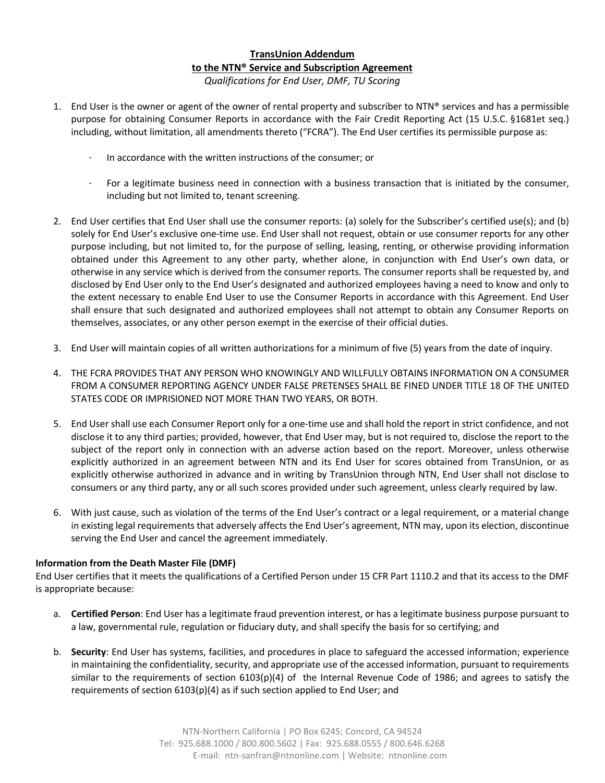# **TransUnion Addendum to the NTN® Service and Subscription Agreement** *Qualifications for End User, DMF, TU Scoring*

- 1. End User is the owner or agent of the owner of rental property and subscriber to  $NTN<sup>®</sup>$  services and has a permissible purpose for obtaining Consumer Reports in accordance with the Fair Credit Reporting Act (15 U.S.C. §1681et seq.) including, without limitation, all amendments thereto ("FCRA"). The End User certifies its permissible purpose as:
	- In accordance with the written instructions of the consumer; or
	- For a legitimate business need in connection with a business transaction that is initiated by the consumer, including but not limited to, tenant screening.
- 2. End User certifies that End User shall use the consumer reports: (a) solely for the Subscriber's certified use(s); and (b) solely for End User's exclusive one-time use. End User shall not request, obtain or use consumer reports for any other purpose including, but not limited to, for the purpose of selling, leasing, renting, or otherwise providing information obtained under this Agreement to any other party, whether alone, in conjunction with End User's own data, or otherwise in any service which is derived from the consumer reports. The consumer reports shall be requested by, and disclosed by End User only to the End User's designated and authorized employees having a need to know and only to the extent necessary to enable End User to use the Consumer Reports in accordance with this Agreement. End User shall ensure that such designated and authorized employees shall not attempt to obtain any Consumer Reports on themselves, associates, or any other person exempt in the exercise of their official duties.
- 3. End User will maintain copies of all written authorizations for a minimum of five (5) years from the date of inquiry.
- 4. THE FCRA PROVIDES THAT ANY PERSON WHO KNOWINGLY AND WILLFULLY OBTAINS INFORMATION ON A CONSUMER FROM A CONSUMER REPORTING AGENCY UNDER FALSE PRETENSES SHALL BE FINED UNDER TITLE 18 OF THE UNITED STATES CODE OR IMPRISIONED NOT MORE THAN TWO YEARS, OR BOTH.
- 5. End User shall use each Consumer Report only for a one-time use and shall hold the report in strict confidence, and not disclose it to any third parties; provided, however, that End User may, but is not required to, disclose the report to the subject of the report only in connection with an adverse action based on the report. Moreover, unless otherwise explicitly authorized in an agreement between NTN and its End User for scores obtained from TransUnion, or as explicitly otherwise authorized in advance and in writing by TransUnion through NTN, End User shall not disclose to consumers or any third party, any or all such scores provided under such agreement, unless clearly required by law.
- 6. With just cause, such as violation of the terms of the End User's contract or a legal requirement, or a material change in existing legal requirements that adversely affects the End User's agreement, NTN may, upon its election, discontinue serving the End User and cancel the agreement immediately.

# **Information from the Death Master File (DMF)**

End User certifies that it meets the qualifications of a Certified Person under 15 CFR Part 1110.2 and that its access to the DMF is appropriate because:

- a. **Certified Person**: End User has a legitimate fraud prevention interest, or has a legitimate business purpose pursuant to a law, governmental rule, regulation or fiduciary duty, and shall specify the basis for so certifying; and
- b. **Security**: End User has systems, facilities, and procedures in place to safeguard the accessed information; experience in maintaining the confidentiality, security, and appropriate use of the accessed information, pursuant to requirements similar to the requirements of section 6103(p)(4) of the Internal Revenue Code of 1986; and agrees to satisfy the requirements of section 6103(p)(4) as if such section applied to End User; and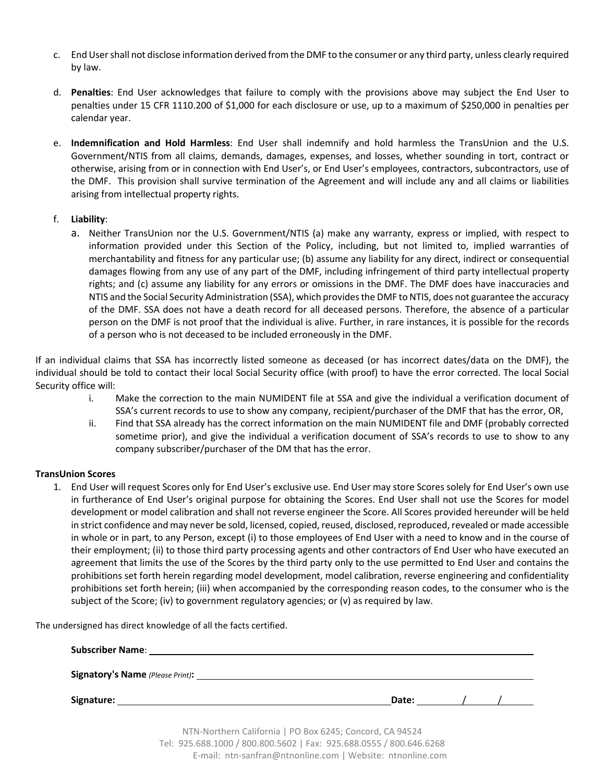- c. End User shall not disclose information derived from the DMF to the consumer or any third party, unless clearly required by law.
- d. **Penalties**: End User acknowledges that failure to comply with the provisions above may subject the End User to penalties under 15 CFR 1110.200 of \$1,000 for each disclosure or use, up to a maximum of \$250,000 in penalties per calendar year.
- e. **Indemnification and Hold Harmless**: End User shall indemnify and hold harmless the TransUnion and the U.S. Government/NTIS from all claims, demands, damages, expenses, and losses, whether sounding in tort, contract or otherwise, arising from or in connection with End User's, or End User's employees, contractors, subcontractors, use of the DMF. This provision shall survive termination of the Agreement and will include any and all claims or liabilities arising from intellectual property rights.
- f. **Liability**:
	- a. Neither TransUnion nor the U.S. Government/NTIS (a) make any warranty, express or implied, with respect to information provided under this Section of the Policy, including, but not limited to, implied warranties of merchantability and fitness for any particular use; (b) assume any liability for any direct, indirect or consequential damages flowing from any use of any part of the DMF, including infringement of third party intellectual property rights; and (c) assume any liability for any errors or omissions in the DMF. The DMF does have inaccuracies and NTIS and the Social Security Administration (SSA), which provides the DMF to NTIS, does not guarantee the accuracy of the DMF. SSA does not have a death record for all deceased persons. Therefore, the absence of a particular person on the DMF is not proof that the individual is alive. Further, in rare instances, it is possible for the records of a person who is not deceased to be included erroneously in the DMF.

If an individual claims that SSA has incorrectly listed someone as deceased (or has incorrect dates/data on the DMF), the individual should be told to contact their local Social Security office (with proof) to have the error corrected. The local Social Security office will:

- i. Make the correction to the main NUMIDENT file at SSA and give the individual a verification document of SSA's current records to use to show any company, recipient/purchaser of the DMF that has the error, OR,
- ii. Find that SSA already has the correct information on the main NUMIDENT file and DMF (probably corrected sometime prior), and give the individual a verification document of SSA's records to use to show to any company subscriber/purchaser of the DM that has the error.

# **TransUnion Scores**

1. End User will request Scores only for End User's exclusive use. End User may store Scores solely for End User's own use in furtherance of End User's original purpose for obtaining the Scores. End User shall not use the Scores for model development or model calibration and shall not reverse engineer the Score. All Scores provided hereunder will be held in strict confidence and may never be sold, licensed, copied, reused, disclosed, reproduced, revealed or made accessible in whole or in part, to any Person, except (i) to those employees of End User with a need to know and in the course of their employment; (ii) to those third party processing agents and other contractors of End User who have executed an agreement that limits the use of the Scores by the third party only to the use permitted to End User and contains the prohibitions set forth herein regarding model development, model calibration, reverse engineering and confidentiality prohibitions set forth herein; (iii) when accompanied by the corresponding reason codes, to the consumer who is the subject of the Score; (iv) to government regulatory agencies; or (v) as required by law.

The undersigned has direct knowledge of all the facts certified.

| Date: $\angle$ / $\angle$ |  |
|---------------------------|--|

NTN-Northern California | PO Box 6245; Concord, CA 94524 Tel: 925.688.1000 / 800.800.5602 | Fax: 925.688.0555 / 800.646.6268 E-mail: ntn-sanfran@ntnonline.com | Website: ntnonline.com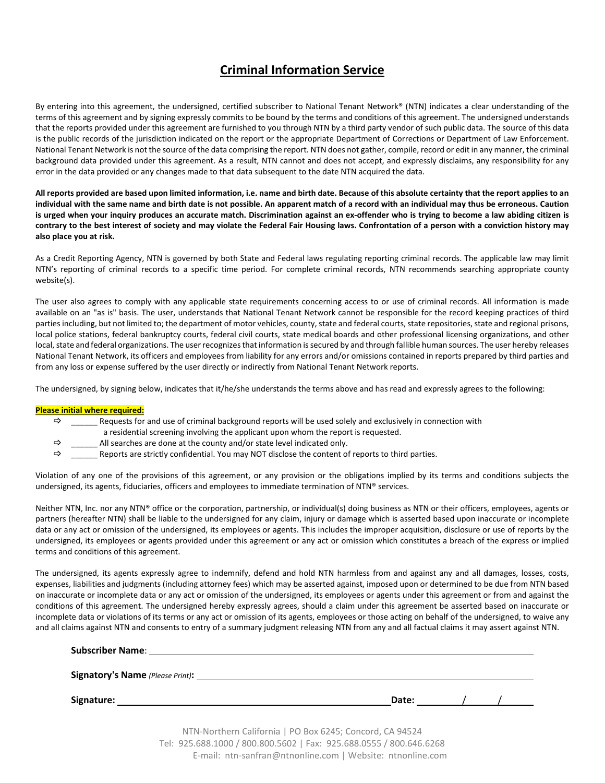# **Criminal Information Service**

By entering into this agreement, the undersigned, certified subscriber to National Tenant Network® (NTN) indicates a clear understanding of the terms of this agreement and by signing expressly commits to be bound by the terms and conditions of this agreement. The undersigned understands that the reports provided under this agreement are furnished to you through NTN by a third party vendor of such public data. The source of this data is the public records of the jurisdiction indicated on the report or the appropriate Department of Corrections or Department of Law Enforcement. National Tenant Network is not the source of the data comprising the report. NTN does not gather, compile, record or edit in any manner, the criminal background data provided under this agreement. As a result, NTN cannot and does not accept, and expressly disclaims, any responsibility for any error in the data provided or any changes made to that data subsequent to the date NTN acquired the data.

**All reports provided are based upon limited information, i.e. name and birth date. Because of this absolute certainty that the report applies to an individual with the same name and birth date is not possible. An apparent match of a record with an individual may thus be erroneous. Caution is urged when your inquiry produces an accurate match. Discrimination against an ex-offender who is trying to become a law abiding citizen is contrary to the best interest of society and may violate the Federal Fair Housing laws. Confrontation of a person with a conviction history may also place you at risk.** 

As a Credit Reporting Agency, NTN is governed by both State and Federal laws regulating reporting criminal records. The applicable law may limit NTN's reporting of criminal records to a specific time period. For complete criminal records, NTN recommends searching appropriate county website(s).

The user also agrees to comply with any applicable state requirements concerning access to or use of criminal records. All information is made available on an "as is" basis. The user, understands that National Tenant Network cannot be responsible for the record keeping practices of third parties including, but not limited to; the department of motor vehicles, county, state and federal courts, state repositories, state and regional prisons, local police stations, federal bankruptcy courts, federal civil courts, state medical boards and other professional licensing organizations, and other local, state and federal organizations. The user recognizes that information is secured by and through fallible human sources. The user hereby releases National Tenant Network, its officers and employees from liability for any errors and/or omissions contained in reports prepared by third parties and from any loss or expense suffered by the user directly or indirectly from National Tenant Network reports.

The undersigned, by signing below, indicates that it/he/she understands the terms above and has read and expressly agrees to the following:

#### **Please initial where required:**

 $\Rightarrow$  Requests for and use of criminal background reports will be used solely and exclusively in connection with

- a residential screening involving the applicant upon whom the report is requested.
- $\Rightarrow$  All searches are done at the county and/or state level indicated only.
- $\Rightarrow$  Reports are strictly confidential. You may NOT disclose the content of reports to third parties.

Violation of any one of the provisions of this agreement, or any provision or the obligations implied by its terms and conditions subjects the undersigned, its agents, fiduciaries, officers and employees to immediate termination of NTN® services.

Neither NTN, Inc. nor any NTN® office or the corporation, partnership, or individual(s) doing business as NTN or their officers, employees, agents or partners (hereafter NTN) shall be liable to the undersigned for any claim, injury or damage which is asserted based upon inaccurate or incomplete data or any act or omission of the undersigned, its employees or agents. This includes the improper acquisition, disclosure or use of reports by the undersigned, its employees or agents provided under this agreement or any act or omission which constitutes a breach of the express or implied terms and conditions of this agreement.

The undersigned, its agents expressly agree to indemnify, defend and hold NTN harmless from and against any and all damages, losses, costs, expenses, liabilities and judgments (including attorney fees) which may be asserted against, imposed upon or determined to be due from NTN based on inaccurate or incomplete data or any act or omission of the undersigned, its employees or agents under this agreement or from and against the conditions of this agreement. The undersigned hereby expressly agrees, should a claim under this agreement be asserted based on inaccurate or incomplete data or violations of its terms or any act or omission of its agents, employees or those acting on behalf of the undersigned, to waive any and all claims against NTN and consents to entry of a summary judgment releasing NTN from any and all factual claims it may assert against NTN.

| Signature: | Date: $\frac{1}{1}$ /                                    |  |
|------------|----------------------------------------------------------|--|
|            | NTN-Northern California   PO Box 6245; Concord, CA 94524 |  |

Tel: 925.688.1000 / 800.800.5602 | Fax: 925.688.0555 / 800.646.6268 E-mail: ntn-sanfran@ntnonline.com | Website: ntnonline.com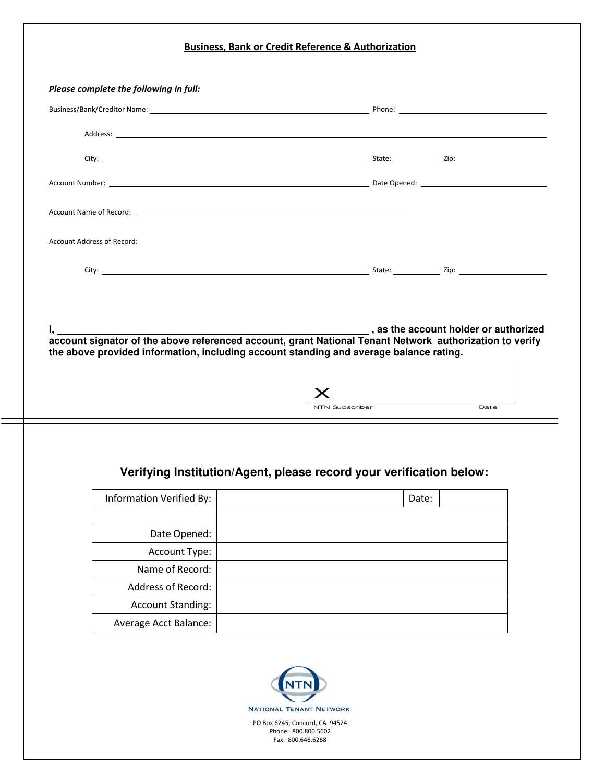| Please complete the following in full:                                                                             |                |       |      |
|--------------------------------------------------------------------------------------------------------------------|----------------|-------|------|
|                                                                                                                    |                |       |      |
|                                                                                                                    |                |       |      |
|                                                                                                                    |                |       |      |
|                                                                                                                    |                |       |      |
|                                                                                                                    |                |       |      |
|                                                                                                                    |                |       |      |
|                                                                                                                    |                |       |      |
|                                                                                                                    |                |       |      |
|                                                                                                                    |                |       |      |
|                                                                                                                    |                |       |      |
|                                                                                                                    | NTN Subscriber |       | Date |
| Verifying Institution/Agent, please record your verification below:                                                |                |       |      |
| Information Verified By:                                                                                           |                | Date: |      |
| Date Opened:                                                                                                       |                |       |      |
| Account Type:                                                                                                      |                |       |      |
| Name of Record:                                                                                                    |                |       |      |
| Address of Record:                                                                                                 |                |       |      |
| the above provided information, including account standing and average balance rating.<br><b>Account Standing:</b> |                |       |      |

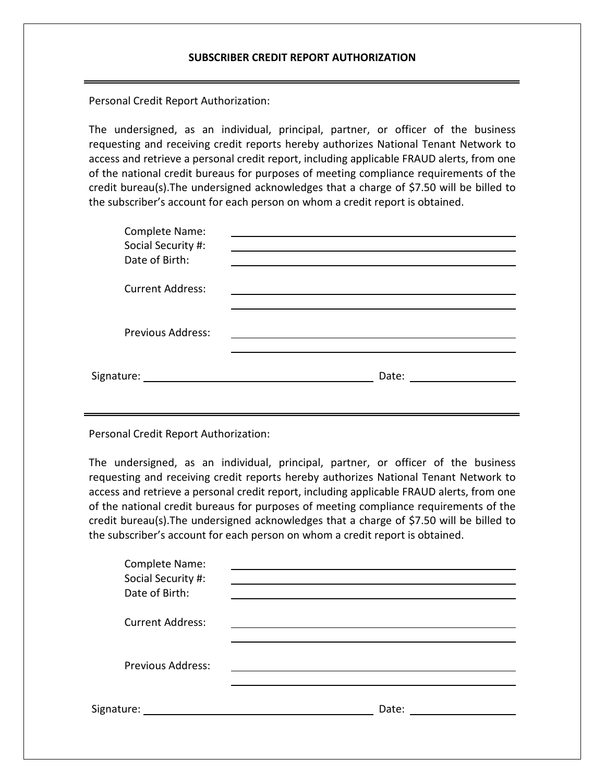Personal Credit Report Authorization:

The undersigned, as an individual, principal, partner, or officer of the business requesting and receiving credit reports hereby authorizes National Tenant Network to access and retrieve a personal credit report, including applicable FRAUD alerts, from one of the national credit bureaus for purposes of meeting compliance requirements of the credit bureau(s).The undersigned acknowledges that a charge of \$7.50 will be billed to the subscriber's account for each person on whom a credit report is obtained.

| Complete Name:<br>Social Security #:<br>Date of Birth: |       |
|--------------------------------------------------------|-------|
| <b>Current Address:</b>                                |       |
| <b>Previous Address:</b>                               |       |
| Signature:                                             | Date: |

Personal Credit Report Authorization:

The undersigned, as an individual, principal, partner, or officer of the business requesting and receiving credit reports hereby authorizes National Tenant Network to access and retrieve a personal credit report, including applicable FRAUD alerts, from one of the national credit bureaus for purposes of meeting compliance requirements of the credit bureau(s).The undersigned acknowledges that a charge of \$7.50 will be billed to the subscriber's account for each person on whom a credit report is obtained.

| Complete Name:<br>Social Security #:<br>Date of Birth: |       |
|--------------------------------------------------------|-------|
| <b>Current Address:</b>                                |       |
| <b>Previous Address:</b>                               |       |
| Signature: ______                                      | Date: |